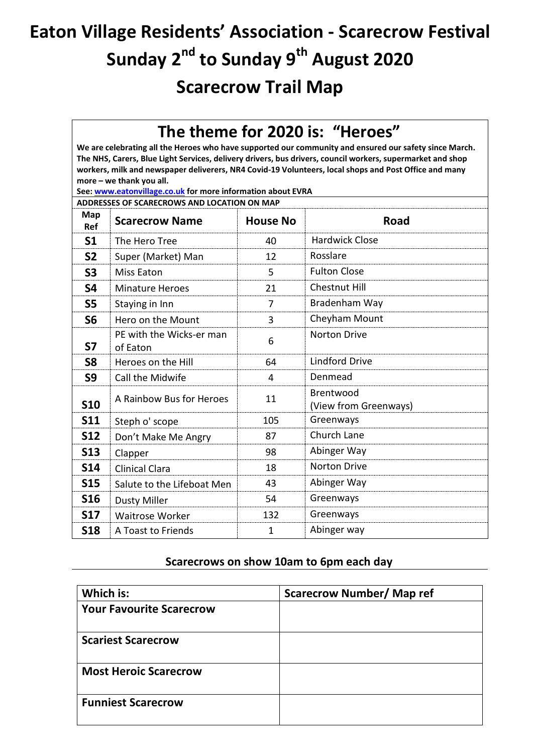## **Eaton Village Residents' Association - Scarecrow Festival Sunday 2nd to Sunday 9 th August 2020 Scarecrow Trail Map**

## **The theme for 2020 is: "Heroes"**

**We are celebrating all the Heroes who have supported our community and ensured our safety since March. The NHS, Carers, Blue Light Services, delivery drivers, bus drivers, council workers, supermarket and shop workers, milk and newspaper deliverers, NR4 Covid-19 Volunteers, local shops and Post Office and many more – we thank you all.**

**See[: www.eatonvillage.co.uk](http://www.eatonvillage.co.uk/) for more information about EVRA**

**ADDRESSES OF SCARECROWS AND LOCATION ON MAP**

| <b>Map</b><br>Ref | <b>Scarecrow Name</b>                | <b>House No</b> | <b>Road</b>                        |
|-------------------|--------------------------------------|-----------------|------------------------------------|
| S <sub>1</sub>    | The Hero Tree                        | 40              | <b>Hardwick Close</b>              |
| <b>S2</b>         | Super (Market) Man                   | 12              | Rosslare                           |
| <b>S3</b>         | <b>Miss Eaton</b>                    | 5               | <b>Fulton Close</b>                |
| <b>S4</b>         | <b>Minature Heroes</b>               | 21              | <b>Chestnut Hill</b>               |
| <b>S5</b>         | Staying in Inn                       | 7               | Bradenham Way                      |
| S <sub>6</sub>    | Hero on the Mount                    | 3               | Cheyham Mount                      |
| <b>S7</b>         | PE with the Wicks-er man<br>of Eaton | 6               | <b>Norton Drive</b>                |
| S <sub>8</sub>    | Heroes on the Hill                   | 64              | <b>Lindford Drive</b>              |
| S9                | Call the Midwife                     | 4               | Denmead                            |
| <b>S10</b>        | A Rainbow Bus for Heroes             | 11              | Brentwood<br>(View from Greenways) |
| <b>S11</b>        | Steph o' scope                       | 105             | Greenways                          |
| <b>S12</b>        | Don't Make Me Angry                  | 87              | Church Lane                        |
| <b>S13</b>        | Clapper                              | 98              | Abinger Way                        |
| <b>S14</b>        | <b>Clinical Clara</b>                | 18              | <b>Norton Drive</b>                |
| <b>S15</b>        | Salute to the Lifeboat Men           | 43              | Abinger Way                        |
| <b>S16</b>        | <b>Dusty Miller</b>                  | 54              | Greenways                          |
| <b>S17</b>        | <b>Waitrose Worker</b>               | 132             | Greenways                          |
| <b>S18</b>        | A Toast to Friends                   | $\mathbf{1}$    | Abinger way                        |

## **Scarecrows on show 10am to 6pm each day**

| Which is:                       | <b>Scarecrow Number/ Map ref</b> |
|---------------------------------|----------------------------------|
| <b>Your Favourite Scarecrow</b> |                                  |
| <b>Scariest Scarecrow</b>       |                                  |
| <b>Most Heroic Scarecrow</b>    |                                  |
| <b>Funniest Scarecrow</b>       |                                  |